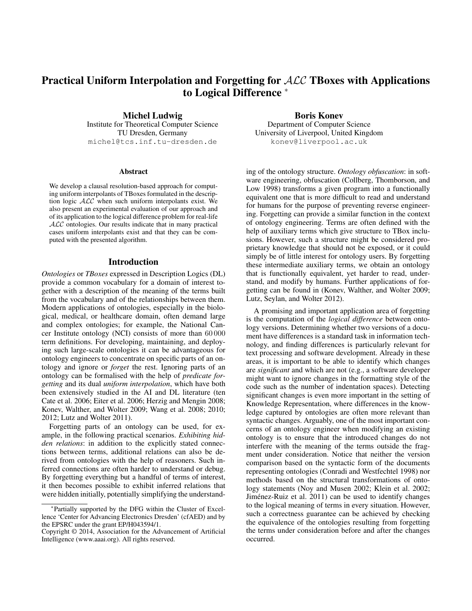# Practical Uniform Interpolation and Forgetting for ALC TBoxes with Applications to Logical Difference <sup>∗</sup>

Michel Ludwig Institute for Theoretical Computer Science TU Dresden, Germany michel@tcs.inf.tu-dresden.de

### **Abstract**

We develop a clausal resolution-based approach for computing uniform interpolants of TBoxes formulated in the description logic  $ALC$  when such uniform interpolants exist. We also present an experimental evaluation of our approach and of its application to the logical difference problem for real-life ALC ontologies. Our results indicate that in many practical cases uniform interpolants exist and that they can be computed with the presented algorithm.

## Introduction

*Ontologies* or *TBoxes* expressed in Description Logics (DL) provide a common vocabulary for a domain of interest together with a description of the meaning of the terms built from the vocabulary and of the relationships between them. Modern applications of ontologies, especially in the biological, medical, or healthcare domain, often demand large and complex ontologies; for example, the National Cancer Institute ontology (NCI) consists of more than 60 000 term definitions. For developing, maintaining, and deploying such large-scale ontologies it can be advantageous for ontology engineers to concentrate on specific parts of an ontology and ignore or *forget* the rest. Ignoring parts of an ontology can be formalised with the help of *predicate forgetting* and its dual *uniform interpolation*, which have both been extensively studied in the AI and DL literature (ten Cate et al. 2006; Eiter et al. 2006; Herzig and Mengin 2008; Konev, Walther, and Wolter 2009; Wang et al. 2008; 2010; 2012; Lutz and Wolter 2011).

Forgetting parts of an ontology can be used, for example, in the following practical scenarios. *Exhibiting hidden relations*: in addition to the explicitly stated connections between terms, additional relations can also be derived from ontologies with the help of reasoners. Such inferred connections are often harder to understand or debug. By forgetting everything but a handful of terms of interest, it then becomes possible to exhibit inferred relations that were hidden initially, potentially simplifying the understand-

Boris Konev Department of Computer Science University of Liverpool, United Kingdom konev@liverpool.ac.uk

ing of the ontology structure. *Ontology obfuscation*: in software engineering, obfuscation (Collberg, Thomborson, and Low 1998) transforms a given program into a functionally equivalent one that is more difficult to read and understand for humans for the purpose of preventing reverse engineering. Forgetting can provide a similar function in the context of ontology engineering. Terms are often defined with the help of auxiliary terms which give structure to TBox inclusions. However, such a structure might be considered proprietary knowledge that should not be exposed, or it could simply be of little interest for ontology users. By forgetting these intermediate auxiliary terms, we obtain an ontology that is functionally equivalent, yet harder to read, understand, and modify by humans. Further applications of forgetting can be found in (Konev, Walther, and Wolter 2009; Lutz, Seylan, and Wolter 2012).

A promising and important application area of forgetting is the computation of the *logical difference* between ontology versions. Determining whether two versions of a document have differences is a standard task in information technology, and finding differences is particularly relevant for text processing and software development. Already in these areas, it is important to be able to identify which changes are *significant* and which are not (e.g., a software developer might want to ignore changes in the formatting style of the code such as the number of indentation spaces). Detecting significant changes is even more important in the setting of Knowledge Representation, where differences in the knowledge captured by ontologies are often more relevant than syntactic changes. Arguably, one of the most important concerns of an ontology engineer when modifying an existing ontology is to ensure that the introduced changes do not interfere with the meaning of the terms outside the fragment under consideration. Notice that neither the version comparison based on the syntactic form of the documents representing ontologies (Conradi and Westfechtel 1998) nor methods based on the structural transformations of ontology statements (Noy and Musen 2002; Klein et al. 2002; Jiménez-Ruiz et al. 2011) can be used to identify changes to the logical meaning of terms in every situation. However, such a correctness guarantee can be achieved by checking the equivalence of the ontologies resulting from forgetting the terms under consideration before and after the changes occurred.

<sup>∗</sup> Partially supported by the DFG within the Cluster of Excellence 'Center for Advancing Electronics Dresden' (cfAED) and by the EPSRC under the grant EP/H043594/1.

Copyright © 2014, Association for the Advancement of Artificial Intelligence (www.aaai.org). All rights reserved.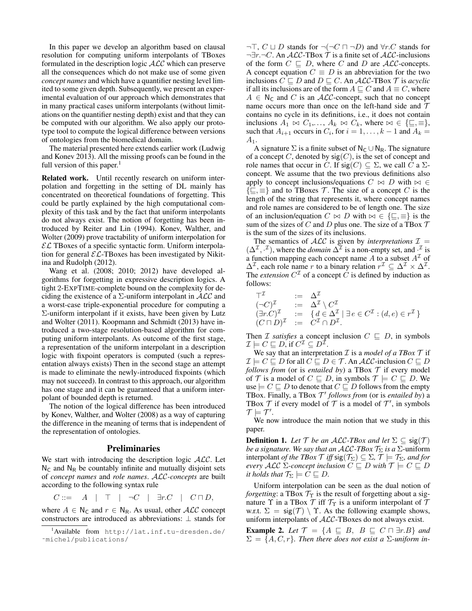In this paper we develop an algorithm based on clausal resolution for computing uniform interpolants of TBoxes formulated in the description logic ALC which can preserve all the consequences which do not make use of some given *concept names* and which have a quantifier nesting level limited to some given depth. Subsequently, we present an experimental evaluation of our approach which demonstrates that in many practical cases uniform interpolants (without limitations on the quantifier nesting depth) exist and that they can be computed with our algorithm. We also apply our prototype tool to compute the logical difference between versions of ontologies from the biomedical domain.

The material presented here extends earlier work (Ludwig and Konev 2013). All the missing proofs can be found in the full version of this paper. $<sup>1</sup>$ </sup>

Related work. Until recently research on uniform interpolation and forgetting in the setting of DL mainly has concentrated on theoretical foundations of forgetting. This could be partly explained by the high computational complexity of this task and by the fact that uniform interpolants do not always exist. The notion of forgetting has been introduced by Reiter and Lin (1994). Konev, Walther, and Wolter (2009) prove tractability of uniform interpolation for  $\mathcal{EL}$  TBoxes of a specific syntactic form. Uniform interpolation for general  $\mathcal{EL}\text{-}\text{T}$ Boxes has been investigated by Nikitina and Rudolph (2012).

Wang et al. (2008; 2010; 2012) have developed algorithms for forgetting in expressive description logics. A tight 2-EXPTIME-complete bound on the complexity for deciding the existence of a  $\Sigma$ -uniform interpolant in  $\mathcal{ALC}$  and a worst-case triple-exponential procedure for computing a  $\Sigma$ -uniform interpolant if it exists, have been given by Lutz and Wolter (2011). Koopmann and Schmidt (2013) have introduced a two-stage resolution-based algorithm for computing uniform interpolants. As outcome of the first stage, a representation of the uniform interpolant in a description logic with fixpoint operators is computed (such a representation always exists) Then in the second stage an attempt is made to eliminate the newly-introduced fixpoints (which may not succeed). In contrast to this approach, our algorithm has one stage and it can be guaranteed that a uniform interpolant of bounded depth is returned.

The notion of the logical difference has been introduced by Konev, Walther, and Wolter (2008) as a way of capturing the difference in the meaning of terms that is independent of the representation of ontologies.

### Preliminaries

We start with introducing the description logic  $ALC$ . Let  $N_c$  and  $N_R$  be countably infinite and mutually disjoint sets of *concept names* and *role names*. ALC*-concepts* are built according to the following syntax rule

 $C ::= A \mid \top \mid \neg C \mid \exists r.C \mid C \sqcap D,$ 

where  $A \in N_C$  and  $r \in N_R$ . As usual, other  $ALC$  concept constructors are introduced as abbreviations: ⊥ stands for  $\neg\top$ ,  $C \sqcup D$  stands for  $\neg(\neg C \sqcap \neg D)$  and  $\forall r$ . C stands for  $\neg \exists r.\neg C$ . An  $\mathcal{ALC}\text{-TBox }\mathcal{T}$  is a finite set of  $\mathcal{ALC}\text{-inclusions}$ of the form  $C \subseteq D$ , where C and D are ALC-concepts. A concept equation  $C \equiv D$  is an abbreviation for the two inclusions  $C \sqsubseteq D$  and  $D \sqsubseteq C$ . An *ALC*-TBox  $\mathcal T$  is *acyclic* if all its inclusions are of the form  $A \sqsubseteq C$  and  $A \equiv C$ , where  $A \in N_{\mathsf{C}}$  and C is an ALC-concept, such that no concept name occurs more than once on the left-hand side and  $T$ contains no cycle in its definitions, i.e., it does not contain inclusions  $A_1 \bowtie C_1, \ldots, A_k \bowtie C_k$ , where  $\bowtie \in \{\sqsubseteq, \equiv\},\$ such that  $A_{i+1}$  occurs in  $C_i$ , for  $i = 1, ..., k-1$  and  $A_k =$  $A_1.$ 

A signature  $\Sigma$  is a finite subset of  $N_C \cup N_R$ . The signature of a concept C, denoted by  $sig(C)$ , is the set of concept and role names that occur in C. If  $sig(C) \subseteq \Sigma$ , we call C a  $\Sigma$ concept. We assume that the two previous definitions also apply to concept inclusions/equations  $C \bowtie D$  with  $\bowtie \in$  $\{\subseteq,\equiv\}$  and to TBoxes T. The size of a concept C is the length of the string that represents it, where concept names and role names are considered to be of length one. The size of an inclusion/equation  $C \bowtie D$  with  $\bowtie \in \{\sqsubseteq, \equiv\}$  is the sum of the sizes of C and D plus one. The size of a TBox  $\mathcal T$ is the sum of the sizes of its inclusions.

The semantics of  $ALC$  is given by *interpretations*  $I =$  $(\Delta^{\mathcal{I}}, \cdot^{\mathcal{I}})$ , where the *domain*  $\Delta^{\mathcal{I}}$  is a non-empty set, and  $\cdot^{\mathcal{I}}$  is a function mapping each concept name A to a subset  $A<sup>\mathcal{I}</sup>$  of  $\Delta^{\mathcal{I}}$ , each role name r to a binary relation  $r^{\mathcal{I}} \subseteq \Delta^{\mathcal{I}} \times \Delta^{\mathcal{I}}$ . The *extension*  $C^{\mathcal{I}}$  of a concept  $\hat{C}$  is defined by induction as follows:

$$
\begin{array}{rcl}\n\mathbf{T}^{\mathcal{I}} & := & \Delta^{\mathcal{I}} \\
(\neg C)^{\mathcal{I}} & := & \Delta^{\mathcal{I}} \setminus C^{\mathcal{I}} \\
(\exists r.C)^{\mathcal{I}} & := & \{d \in \Delta^{\mathcal{I}} \mid \exists e \in C^{\mathcal{I}} : (d,e) \in r^{\mathcal{I}} \} \\
(C \sqcap D)^{\mathcal{I}} & := & C^{\mathcal{I}} \cap D^{\mathcal{I}}.\n\end{array}
$$

Then *I satisfies* a concept inclusion  $C \subseteq D$ , in symbols  $\mathcal{I} \models C \sqsubseteq D$ , if  $C^{\mathcal{I}} \subseteq D^{\bar{\mathcal{I}}}$ .

We say that an interpretation  $\mathcal I$  is a *model of a TBox*  $\mathcal T$  if  $\mathcal{I} \models C \sqsubseteq D$  for all  $C \sqsubseteq D \in \mathcal{T}$ . An  $\mathcal{ALC}\text{-inclusion } C \sqsubseteq D$ *follows from* (or is *entailed by*) a TBox  $T$  if every model of  $\mathcal T$  is a model of  $C \sqsubseteq D$ , in symbols  $\mathcal T \models C \sqsubseteq D$ . We use  $\models C \sqsubseteq D$  to denote that  $C \sqsubseteq D$  follows from the empty TBox. Finally, a TBox  $\mathcal{T}'$  follows from (or is *entailed by*) a TBox  $T$  if every model of  $T$  is a model of  $T'$ , in symbols  $\mathcal{T} \models \mathcal{T}'$ .

We now introduce the main notion that we study in this paper.

**Definition 1.** *Let*  $\mathcal{T}$  *be an ALC-TBox and let*  $\Sigma \subseteq \text{sig}(\mathcal{T})$ *be a signature. We say that an ALC-TBox*  $\mathcal{T}_{\Sigma}$  *is a*  $\Sigma$ -uniform interpolant *of the TBox*  $\mathcal{T}$  *iff* sig( $\mathcal{T}_{\Sigma}$ )  $\subseteq \Sigma$ ,  $\mathcal{T} \models \mathcal{T}_{\Sigma}$ *, and for every*  $\mathcal{ALC}$   $\Sigma$ -concept inclusion  $C \sqsubseteq D$  with  $\mathcal{T} \models C \sqsubseteq D$ *it holds that*  $\mathcal{T}_{\Sigma} \models C \sqsubseteq D$ .

Uniform interpolation can be seen as the dual notion of *forgetting*: a TBox  $\mathcal{T}_{\Upsilon}$  is the result of forgetting about a signature  $\Upsilon$  in a TBox  $\mathcal T$  iff  $\mathcal T_\Upsilon$  is a uniform interpolant of  $\mathcal T$ w.r.t.  $\Sigma = \text{sig}(\mathcal{T}) \setminus \Upsilon$ . As the following example shows, uniform interpolants of ALC-TBoxes do not always exist.

**Example 2.** Let  $\mathcal{T} = \{A \sqsubseteq B, B \sqsubseteq C \sqcap \exists r.B\}$  and  $\Sigma = \{A, C, r\}$ *. Then there does not exist a*  $\Sigma$ -uniform in-

<sup>1</sup>Available from http://lat.inf.tu-dresden.de/ ˜michel/publications/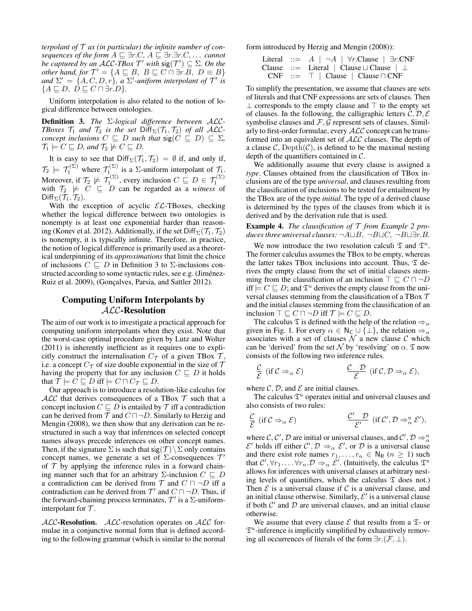*terpolant of* T *as (in particular) the infinite number of consequences of the form*  $A \sqsubseteq \exists r.C, A \sqsubseteq \exists r.\exists r.C, \ldots$  *cannot be captured by an ALC-TBox*  $\mathcal{T}'$  *with*  $sig(\mathcal{T}') \subseteq \Sigma$ . On the *other hand, for*  $\mathcal{T}' = \{A \sqsubseteq B, B \sqsubseteq C \sqcap \exists r.B, D \equiv B\}$ and  $\Sigma' = \{A, C, D, r\}$ , a  $\Sigma'$ -uniform interpolant of  $\mathcal{T}'$  is  ${A \sqsubseteq D, D \sqsubseteq C \sqcap \exists r.D}.$ 

Uniform interpolation is also related to the notion of logical difference between ontologies.

Definition 3. *The* Σ*-logical difference between* ALC*-TBoxes*  $\mathcal{T}_1$  *and*  $\mathcal{T}_2$  *is the set*  $\text{Diff}_{\Sigma}(\mathcal{T}_1, \mathcal{T}_2)$  *of all ACCconcept inclusions*  $C \subseteq D$  *such that*  $sig(C \subseteq D) \subseteq \Sigma$ ,  $\mathcal{T}_1 \models C \sqsubseteq D$ , and  $\mathcal{T}_2 \not\models C \sqsubseteq D$ .

It is easy to see that  $Diff_{\Sigma}(\mathcal{T}_1, \mathcal{T}_2) = \emptyset$  if, and only if,  $\mathcal{T}_2 \models \mathcal{T}_1^{(\Sigma)}$  where  $\mathcal{T}_1^{(\Sigma)}$  is a  $\Sigma$ -uniform interpolant of  $\mathcal{T}_1$ . Moreover, if  $\mathcal{T}_2 \not\models \mathcal{T}_1^{(\Sigma)}$ , every inclusion  $C \sqsubseteq D \in \mathcal{T}_1^{(\Sigma)}$ <br>with  $\mathcal{T}_2 \not\models C \sqsubseteq D$  can be regarded as a *witness* of Diff<sub>Σ</sub> $(\mathcal{T}_1, \mathcal{T}_2)$ .

With the exception of acyclic  $\mathcal{EL}\text{-}\text{T}$ Boxes, checking whether the logical difference between two ontologies is nonempty is at least one exponential harder than reasoning (Konev et al. 2012). Additionally, if the set  $Diff_{\Sigma}(\mathcal{T}_1, \mathcal{T}_2)$ is nonempty, it is typically infinite. Therefore, in practice, the notion of logical difference is primarily used as a theoretical underpinning of its *approximations* that limit the choice of inclusions  $C \subseteq D$  in Definition 3 to  $\Sigma$ -inclusions constructed according to some syntactic rules, see e.g. (Jiménez-Ruiz et al. 2009), (Gonçalves, Parsia, and Sattler 2012).

# Computing Uniform Interpolants by ALC-Resolution

The aim of our work is to investigate a practical approach for computing uniform interpolants when they exist. Note that the worst-case optimal procedure given by Lutz and Wolter (2011) is inherently inefficient as it requires one to explicitly construct the internalisation  $C_{\mathcal{T}}$  of a given TBox  $\mathcal{T}$ , i.e. a concept  $C_{\mathcal{T}}$  of size double exponential in the size of  $\mathcal{T}$ having the property that for any inclusion  $C \sqsubseteq D$  it holds that  $\mathcal{T} \models C \sqsubseteq D$  iff  $\models C \sqcap C_{\mathcal{T}} \sqsubseteq D$ .

Our approach is to introduce a resolution-like calculus for  $ALC$  that derives consequences of a TBox  $T$  such that a concept inclusion  $C \sqsubseteq D$  is entailed by  $\mathcal T$  iff a contradiction can be derived from  $\mathcal T$  and  $C \sqcap \neg D$ . Similarly to Herzig and Mengin (2008), we then show that any derivation can be restructured in such a way that inferences on selected concept names always precede inferences on other concept names. Then, if the signature  $\Sigma$  is such that sig(T)  $\Sigma$  only contains concept names, we generate a set of  $\Sigma$ -consequences  $\mathcal{T}'$ of  $T$  by applying the inference rules in a forward chaining manner such that for an arbitrary  $\Sigma$ -inclusion  $C \subseteq D$ a contradiction can be derived from  $\mathcal T$  and  $C \sqcap \neg D$  iff a contradiction can be derived from  $\mathcal{T}'$  and  $C \sqcap \neg D$ . Thus, if the forward-chaining process terminates,  $\mathcal{T}'$  is a  $\Sigma$ -uniforminterpolant for  $T$ .

 $ALC$ -Resolution.  $ALC$ -resolution operates on  $ALC$  formulae in a conjunctive normal form that is defined according to the following grammar (which is similar to the normal form introduced by Herzig and Mengin (2008)):

| Literal | ::= A   $\neg A$   $\forall r$ .<br>Clause   $\exists r$ .<br>CNF |                                    |                        |
|---------|-------------------------------------------------------------------|------------------------------------|------------------------|
| Clause  | ::= Literal                                                       | Clause $\sqcup$<br>Clause   $\bot$ |                        |
| CNF     | ::= T                                                             | Clause                             | Clause $\sqcap$<br>CNF |

To simplify the presentation, we assume that clauses are sets of literals and that CNF expressions are sets of clauses. Then  $\perp$  corresponds to the empty clause and  $\perp$  to the empty set of clauses. In the following, the calligraphic letters  $C, D, E$ symbolise clauses and  $\mathcal{F}, \mathcal{G}$  represent sets of clauses. Similarly to first-order formulae, every ALC concept can be transformed into an equivalent set of ALC clauses. The depth of a clause  $\mathcal{C}$ , Depth $(\mathcal{C})$ , is defined to be the maximal nesting depth of the quantifiers contained in C.

We additionally assume that every clause is assigned a *type*. Clauses obtained from the clausification of TBox inclusions are of the type *universal*, and clauses resulting from the clausification of inclusions to be tested for entailment by the TBox are of the type *initial*. The type of a derived clause is determined by the types of the clauses from which it is derived and by the derivation rule that is used.

Example 4. *The clausification of* T *from Example 2 produces three universal clauses:*  $\neg A \sqcup B$ ,  $\neg B \sqcup C$ ,  $\neg B \sqcup \exists r.B$ .

We now introduce the two resolution calculi  $\mathfrak T$  and  $\mathfrak T^u$ . The former calculus assumes the TBox to be empty, whereas the latter takes TBox inclusions into account. Thus,  $\mathfrak T$  derives the empty clause from the set of initial clauses stemming from the clausification of an inclusion  $\top \sqsubseteq C \sqcap \neg D$ iff  $\vdash C \sqsubseteq D$ ; and  $\mathfrak{T}^u$  derives the empty clause from the universal clauses stemming from the clausification of a TBox  $\mathcal T$ and the initial clauses stemming from the clausification of an inclusion  $\top \sqsubseteq C \sqcap \neg D$  iff  $\mathcal{T} \models C \sqsubseteq D$ .

The calculus  $\mathfrak T$  is defined with the help of the relation  $\Rightarrow_\alpha$ given in Fig. 1. For every  $\alpha \in \mathsf{N}_{\mathsf{C}} \cup \{\perp\}$ , the relation  $\Rightarrow_{\alpha}$ associates with a set of clauses  $N$  a new clause  $C$  which can be 'derived' from the set  $\mathcal N$  by 'resolving' on  $\alpha$ .  $\mathfrak T$  now consists of the following two inference rules.

$$
\frac{\mathcal{C}}{\mathcal{E}} \text{ (if } \mathcal{C} \Rightarrow_{\alpha} \mathcal{E} \text{)} \qquad \qquad \frac{\mathcal{C}}{\mathcal{E}} \text{ (if } \mathcal{C}, \mathcal{D} \Rightarrow_{\alpha} \mathcal{E} \text{)},
$$

where  $\mathcal{C}, \mathcal{D}$ , and  $\mathcal E$  are initial clauses.

The calculus  $\mathfrak{T}^u$  operates initial and universal clauses and also consists of two rules:

$$
\frac{\mathcal{C}}{\mathcal{E}} \text{ (if } \mathcal{C} \Rightarrow_{\alpha} \mathcal{E} \text{)} \qquad \qquad \frac{\mathcal{C}'}{\mathcal{E}'} \text{ (if } \mathcal{C}', \mathcal{D} \Rightarrow_{\alpha}^{u} \mathcal{E}',
$$

where C, C', D are initial or universal clauses, and  $\mathcal{C}', \mathcal{D} \Rightarrow_{\alpha}^u$  $\mathcal{E}'$  holds iff either  $\mathcal{C}', \mathcal{D} \Rightarrow_{\alpha} \mathcal{E}',$  or  $\mathcal{D}$  is a universal clause and there exist role names  $r_1, \ldots, r_n \in N_R$   $(n \geq 1)$  such that  $C', \forall r_1, \ldots, \forall r_n \ldotp \mathcal{D} \Rightarrow_{\alpha} \mathcal{E}'$ . (Intuitively, the calculus  $\mathfrak{T}^u$ allows for inferences with universal clauses at arbitrary nesting levels of quantifiers, which the calculus  $\mathfrak T$  does not.) Then  $\mathcal E$  is a universal clause if  $\mathcal C$  is a universal clause, and an initial clause otherwise. Similarly,  $\mathcal{E}'$  is a universal clause if both  $\mathcal{C}'$  and  $\mathcal{D}$  are universal clauses, and an initial clause otherwise.

We assume that every clause  $\mathcal E$  that results from a  $\mathfrak T$ - or  $\mathfrak{T}^u$ -inference is implicitly simplified by exhaustively removing all occurrences of literals of the form  $\exists r.(\mathcal{F}, \bot)$ .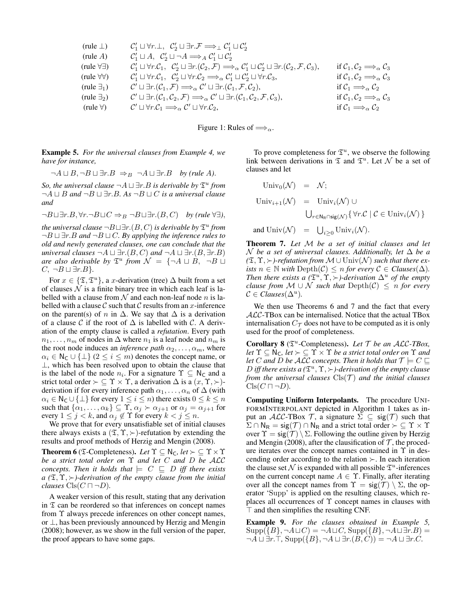$$
(rule A) C'1 ⊔V1 ⊔V1 ⊥V2, C'2 ⊔T1 ⊂C'2\n
$$
(rule A) C'1 ⊔A, C'2 ⊥⊤A ≈A C'1 ⊔C'2\n
$$
(rule \forall \exists) C'1 ⊔V1, C'2 ⊥T1, (C2, F) ⇒α C'1 ⊔C'2 ⊥T1, (C2, F, C3),
$$
 if C<sub>1</sub>, C<sub>2</sub> ⇒<sub>α</sub> C<sub>3</sub>  
\n
$$
(rule \forall \forall) C'1 ⊥V1, C'2 ⊥V1, C'2 ⊕α C'1 ⊥C'2 ⊥V1, C'2 ⊥V1, C'2 ⇒α C'1 ⊥C'2 ⊥V1, C3,
$$
 if C<sub>1</sub>, C<sub>2</sub> ⇒<sub>α</sub> C<sub>3</sub>  
\n
$$
(rule \exists_1) C'1 ⊃T1, (C1, F) ⇒α C'1 ⊥T1, (C1, F, C2),
$$
 if C<sub>1</sub> ⇒<sub>α</sub> C<sub>2</sub>  
\n
$$
(rule \forall) C'1 ⊃T1, (C1, C2, F) ⇒α C'1 ⊥T1, (C1, C2, F, C3),
$$
 if C<sub>1</sub>, C<sub>2</sub> ⇒<sub>α</sub> C<sub>3</sub>  
\n
$$
(rule \
$$
$$
$$

Figure 1: Rules of  $\Longrightarrow_{\alpha}$ .

Example 5. *For the universal clauses from Example 4, we have for instance,*

$$
\neg A \sqcup B, \neg B \sqcup \exists r.B \Rightarrow_B \neg A \sqcup \exists r.B \quad by \ (rule \ A).
$$

So, the universal clause  $\neg A \sqcup \exists r.B$  is derivable by  $\mathfrak{T}^u$  from  $\neg A \sqcup B$  and  $\neg B \sqcup \exists r.B.$  As  $\neg B \sqcup C$  *is a universal clause and*

 $\neg B \sqcup \exists r.B, \forall r.\neg B \sqcup C \Rightarrow_B \neg B \sqcup \exists r.(B, C)$  *by (rule* ∀∃*)*,

 $\mathit{the\ universal\ clause} \neg B \sqcup \exists r.(B,C) \textit{ is derivable by } \mathfrak{T}^u \textit{ from } \mathfrak{m}$  $\neg B \sqcup \exists r.B$  *and*  $\neg B \sqcup C$ *. By applying the inference rules to old and newly generated clauses, one can conclude that the universal clauses*  $\neg A \sqcup \exists r.(B, C)$  *and*  $\neg A \sqcup \exists r.(B, \exists r.B)$ *are also derivable by*  $\mathfrak{T}^u$  *from*  $\mathcal{N} = \{\neg A \sqcup B, \neg B \sqcup \emptyset\}$  $C, \neg B \sqcup \exists r.B$ }.

For  $x \in {\mathfrak{X}}, {\mathfrak{T}}^u$ , a x-derivation (tree)  $\Delta$  built from a set of clauses  $N$  is a finite binary tree in which each leaf is labelled with a clause from  $N$  and each non-leaf node n is labelled with a clause  $\mathcal C$  such that  $\mathcal C$  results from an  $x$ -inference on the parent(s) of n in  $\Delta$ . We say that  $\Delta$  is a derivation of a clause C if the root of  $\Delta$  is labelled with C. A derivation of the empty clause is called a *refutation*. Every path  $n_1, \ldots, n_m$  of nodes in  $\Delta$  where  $n_1$  is a leaf node and  $n_m$  is the root node induces an *inference path*  $\alpha_2, \dots, \alpha_m$ , where  $\alpha_i \in \mathsf{N}_{\mathsf{C}} \cup \{\perp\}$   $(2 \leq i \leq m)$  denotes the concept name, or ⊥, which has been resolved upon to obtain the clause that is the label of the node  $n_i$ . For a signature  $\Upsilon \subseteq \mathbb{N}_{\mathsf{C}}$  and a strict total order  $\succ \subseteq \Upsilon \times \Upsilon$ , a derivation  $\Delta$  is a  $(x, \Upsilon, \succ)$ derivation if for every inference path  $\alpha_1, \ldots, \alpha_n$  of  $\Delta$  (with  $\alpha_i \in \mathsf{N}_{\mathsf{C}} \cup \{\bot\}$  for every  $1 \leq i \leq n$ ) there exists  $0 \leq k \leq n$ such that  $\{\alpha_1, \ldots, \alpha_k\} \subseteq \Upsilon$ ,  $\alpha_j \succ \alpha_{j+1}$  or  $\alpha_j = \alpha_{j+1}$  for every  $1 \leq j < k$ , and  $\alpha_j \notin \Upsilon$  for every  $k < j \leq n$ .

We prove that for every unsatisfiable set of initial clauses there always exists a  $(\mathfrak{T}, \mathfrak{T}, \succ)$ -refutation by extending the results and proof methods of Herzig and Mengin (2008).

**Theorem 6** ( $\mathfrak{T}$ -Completeness). *Let*  $\Upsilon \subseteq \mathbb{N}_C$ , *let*  $\succ \subseteq \Upsilon \times \Upsilon$ *be a strict total order on* Υ *and let* C *and* D *be* ALC *concepts. Then it holds that*  $\vert\in C \subseteq D$  *iff there exists*  $a$  ( $\mathfrak{T}, \mathfrak{T}, \succ$ )-derivation of the empty clause from the initial *clauses*  $Cls(C \sqcap \neg D)$ .

A weaker version of this result, stating that any derivation in  $\mathfrak T$  can be reordered so that inferences on concept names from Υ always precede inferences on other concept names, or ⊥, has been previously announced by Herzig and Mengin (2008); however, as we show in the full version of the paper, the proof appears to have some gaps.

To prove completeness for  $\mathfrak{T}^u$ , we observe the following link between derivations in  $\mathfrak T$  and  $\mathfrak T^u$ . Let  $\mathcal N$  be a set of clauses and let

$$
\begin{array}{rcl}\n\text{Univ}_0(\mathcal{N}) & = & \mathcal{N}; \\
\text{Univ}_{i+1}(\mathcal{N}) & = & \text{Univ}_i(\mathcal{N}) \cup \\
& & \bigcup_{r \in \mathbb{N}_R \cap \text{sig}(\mathcal{N})} \{ \forall r \mathcal{C} \mid \mathcal{C} \in \text{Univ}_i(\mathcal{N}) \} \\
\text{and } \text{Univ}(\mathcal{N}) & = & \bigcup_{i \geq 0} \text{Univ}_i(\mathcal{N}).\n\end{array}
$$

Theorem 7. *Let* M *be a set of initial clauses and let* N *be a set of universal clauses. Additionally, let* ∆ *be a*  $(\mathfrak{T}, \Upsilon, \succ)$ -refutation from  $\mathcal{M} \cup \text{Univ}(\mathcal{N})$  such that there ex*ists*  $n \in \mathbb{N}$  *with* Depth $(C) \leq n$  *for every*  $C \in Clauses(\Delta)$ *. Then there exists a*  $(\mathfrak{T}^u, \Upsilon, \succ)$ -derivation  $\Delta^u$  of the empty *clause from*  $M \cup N$  *such that*  $Depth(\mathcal{C}) \leq n$  *for every*  $\mathcal{C} \in \mathit{Clauses}(\Delta^u)$ .

We then use Theorems 6 and 7 and the fact that every ALC-TBox can be internalised. Notice that the actual TBox internalisation  $C_{\mathcal{T}}$  does not have to be computed as it is only used for the proof of completeness.

Corollary 8 (T u -Completeness). *Let* T *be an* ALC*-TBox, let*  $\Upsilon \subseteq \mathbb{N}_C$ *, let*  $\succ \subseteq \Upsilon \times \Upsilon$  *be a strict total order on*  $\Upsilon$  *and let* C and D *be* ALC concepts. Then it holds that  $\mathcal{T} \models C \sqsubseteq$ D iff there exists a  $(\mathfrak{T}^u, \mathfrak{T}, \succ)$ -derivation of the empty clause *from the universal clauses*  $Cls(\mathcal{T})$  *and the initial clauses*  $Cls(C \sqcap \neg D)$ .

Computing Uniform Interpolants. The procedure UNI-FORMINTERPOLANT depicted in Algorithm 1 takes as input an ALC-TBox  $\mathcal{T}$ , a signature  $\Sigma \subseteq \text{sig}(\mathcal{T})$  such that  $\Sigma \cap N_R = sig(\mathcal{T}) \cap N_R$  and a strict total order  $\succ \subseteq \Upsilon \times \Upsilon$ over  $\Upsilon = \text{sig}(\mathcal{T}) \setminus \Sigma$ . Following the outline given by Herzig and Mengin (2008), after the clausification of  $\mathcal T$ , the procedure iterates over the concept names contained in  $\Upsilon$  in descending order according to the relation  $\succ$ . In each iteration the clause set  $N$  is expanded with all possible  $\mathfrak{T}^u$ -inferences on the current concept name  $A \in \Upsilon$ . Finally, after iterating over all the concept names from  $\Upsilon = \text{sig}(\mathcal{T}) \setminus \Sigma$ , the operator 'Supp' is applied on the resulting clauses, which replaces all occurrences of  $\Upsilon$  concept names in clauses with  $\top$  and then simplifies the resulting CNF.

Example 9. *For the clauses obtained in Example 5,*  $Supp({B}, \neg A \sqcup C) = \neg A \sqcup C$ ,  $Supp({B}, \neg A \sqcup \exists r.B) =$  $\neg A \sqcup \exists r.\dot{T}, \text{Supp}(\{B\}, \neg A \sqcup \exists r.(B, C)) = \neg A \sqcup \exists r.C.$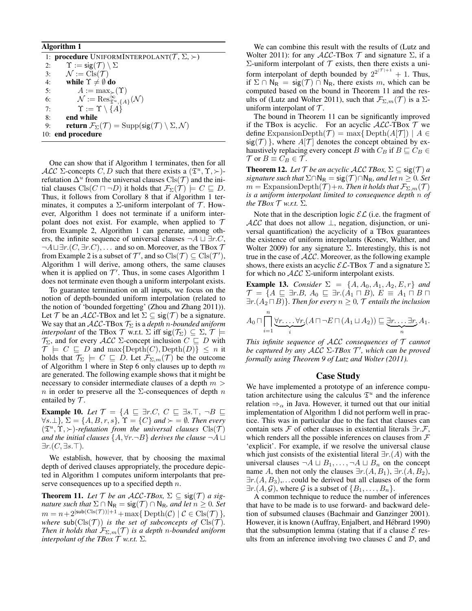### Algorithm 1

1: **procedure** UNIFORMINTERPOLANT $(T, \Sigma, \succ)$ 2:  $\Upsilon := \text{sig}(\mathcal{T}) \setminus \Sigma$ 3:  $\mathcal{N} := \text{Cls}(\mathcal{T})$ 4: while  $\Upsilon \neq \emptyset$  do 5:  $A := \max_{\succ}(\Upsilon)$ 6:  $\mathcal{N} := \text{Res}_{\mathfrak{T}^u, \{A\}}^{\infty}(\mathcal{N})$ 7:  $\Upsilon := \Upsilon \setminus \{A\}$ 8: end while 9: **return**  $\mathcal{F}_{\Sigma}(\mathcal{T}) = \text{Supp}(\text{sig}(\mathcal{T}) \setminus \Sigma, \mathcal{N})$ 10: end procedure

One can show that if Algorithm 1 terminates, then for all ALC  $\Sigma$ -concepts C, D such that there exists a  $(\mathfrak{T}^u, \Upsilon, \succ)$ refutation  $\Delta^u$  from the universal clauses  $\text{Cls}(\mathcal{T})$  and the initial clauses  $\text{Cls}(C \sqcap \neg D)$  it holds that  $\mathcal{F}_{\Sigma}(\mathcal{T}) \models C \sqsubseteq D$ . Thus, it follows from Corollary 8 that if Algorithm 1 terminates, it computes a  $\Sigma$ -uniform interpolant of  $\mathcal T$ . However, Algorithm 1 does not terminate if a uniform interpolant does not exist. For example, when applied to  $\mathcal T$ from Example 2, Algorithm 1 can generate, among others, the infinite sequence of universal clauses  $\neg A \sqcup \exists r.C$ ,  $\neg A \sqcup \exists r. (C, \exists r. C), \dots$  and so on. Moreover, as the TBox  $\mathcal T$ from Example 2 is a subset of  $\mathcal{T}'$ , and so  $\text{Cls}(\mathcal{T}) \subseteq \text{Cls}(\mathcal{T}')$ , Algorithm 1 will derive, among others, the same clauses when it is applied on  $\mathcal{T}'$ . Thus, in some cases Algorithm 1 does not terminate even though a uniform interpolant exists.

To guarantee termination on all inputs, we focus on the notion of depth-bounded uniform interpolation (related to the notion of 'bounded forgetting' (Zhou and Zhang 2011)). Let T be an ALC-TBox and let  $\Sigma \subseteq \text{sig}(\mathcal{T})$  be a signature. We say that an  $ALC$ -TBox  $\mathcal{T}_{\Sigma}$  is a *depth n-bounded uniform interpolant* of the TBox  $\mathcal T$  w.r.t.  $\Sigma$  iff  $\mathsf{sig}(\mathcal T_\Sigma) \subseteq \Sigma$ ,  $\mathcal T \models$  $\mathcal{T}_{\Sigma}$ , and for every  $\mathcal{ALC}$  Σ-concept inclusion  $C \subseteq D$  with  $\mathcal{T} \models C \subseteq D$  and max $\{\text{Depth}(C), \text{Depth}(D)\} \leq n$  it holds that  $\overline{\mathcal{T}_{\Sigma}}$   $\models$   $C \sqsubseteq D$ . Let  $\mathcal{F}_{\Sigma,m}(\mathcal{T})$  be the outcome of Algorithm 1 where in Step 6 only clauses up to depth  $m$ are generated. The following example shows that it might be necessary to consider intermediate clauses of a depth  $m >$ n in order to preserve all the  $\Sigma$ -consequences of depth n entailed by  $\mathcal{T}$ .

**Example 10.** *Let*  $\mathcal{T} = \{A \sqsubseteq \exists r.C, C \sqsubseteq \exists s.\top, \neg B \sqsubseteq \exists t$  $\forall s.\bot$ *},*  $\Sigma = \{A, B, r, s\}$ ,  $\Upsilon = \{C\}$  and  $\succ = \emptyset$ . Then every  $(\mathfrak{T}^u, \Upsilon, \rangle)$ -refutation from the universal clauses  $\text{Cls}(\mathcal{T})$ *and the initial clauses*  $\{A, \forall r.\neg B\}$  *derives the clause*  $\neg A \sqcup$  $\exists r. (C, \exists s. \top)$ .

We establish, however, that by choosing the maximal depth of derived clauses appropriately, the procedure depicted in Algorithm 1 computes uniform interpolants that preserve consequences up to a specified depth  $n$ .

**Theorem 11.** Let  $T$  be an ALC-TBox,  $\Sigma \subseteq \text{sig}(\mathcal{T})$  a sig*nature such that*  $\Sigma \cap \mathsf{N}_\mathsf{R} = \mathsf{sig}(\mathcal{T}) \cap \mathsf{N}_\mathsf{R}$ *, and let*  $n \geq 0$ *. Set*  $m = n + 2^{|\text{sub}(C\text{ls}(\mathcal{T}))|+1} + \max\{ \text{Depth}(\mathcal{C}) \mid \mathcal{C} \in \text{Cls}(\mathcal{T}) \},$ *where*  $\text{sub}(Cls(\mathcal{T}))$  *is the set of subconcepts of*  $Cls(\mathcal{T})$ *. Then it holds that*  $\mathcal{F}_{\Sigma,m}(\mathcal{T})$  *is a depth n-bounded uniform interpolant of the TBox*  $T$  *w.r.t.*  $\Sigma$ *.* 

We can combine this result with the results of (Lutz and Wolter 2011): for any  $ALC$ -TBox  $T$  and signature  $\Sigma$ , if a Σ-uniform interpolant of  $T$  exists, then there exists a uniform interpolant of depth bounded by  $2^{2^{|\mathcal{T}|+1}} + 1$ . Thus, if  $\Sigma \cap N_R = \text{sig}(\mathcal{T}) \cap N_R$ , there exists m, which can be computed based on the bound in Theorem 11 and the results of (Lutz and Wolter 2011), such that  $\mathcal{F}_{\Sigma,m}(\mathcal{T})$  is a  $\Sigma$ uniform interpolant of  $\mathcal T$ .

The bound in Theorem 11 can be significantly improved if the TBox is acyclic. For an acyclic  $ALC$ -TBox  $T$  we define ExpansionDepth $(\mathcal{T}) = \max\{ \text{Depth}(A|\mathcal{T}) \mid A \in$  $sig(\mathcal{T})$ , where  $A[\mathcal{T}]$  denotes the concept obtained by exhaustively replacing every concept B with  $C_B$  if  $B \sqsubseteq C_B \in$  $\mathcal{T}$  or  $B \equiv C_B \in \mathcal{T}$ .

**Theorem 12.** Let  $\mathcal T$  be an acyclic ALC TBox,  $\Sigma \subseteq \text{sig}(\mathcal T)$  a *signature such that*  $\Sigma \cap \mathsf{N}_{\mathsf{R}} = \mathsf{sig}(\mathcal{T}) \cap \mathsf{N}_{\mathsf{R}}$ *, and let*  $n \geq 0$ *. Set*  $m = \text{ExpansionDepth}(\mathcal{T})+n$ . Then it holds that  $\mathcal{F}_{\Sigma,m}(\mathcal{T})$ *is a uniform interpolant limited to consequence depth* n *of the TBox*  $\mathcal T$  *w.r.t.*  $\Sigma$ *.* 

Note that in the description logic  $\mathcal{EL}$  (i.e. the fragment of  $\mathcal{ALC}$  that does not allow  $\perp$ , negation, disjunction, or universal quantification) the acyclicity of a TBox guarantees the existence of uniform interpolants (Konev, Walther, and Wolter 2009) for any signature  $\Sigma$ . Interestingly, this is not true in the case of  $ALC$ . Moreover, as the following example shows, there exists an acyclic  $\mathcal{EL}\text{-}\text{TBox }\mathcal{T}$  and a signature  $\Sigma$ for which no  $\mathcal{ALC}$   $\Sigma$ -uniform interpolant exists.

**Example 13.** *Consider*  $\Sigma = \{A, A_0, A_1, A_2, E, r\}$  *and*  $\mathcal{T} = \{A \sqsubseteq \exists r.B, A_0 \sqsubseteq \exists r.(A_1 \sqcap B), E \equiv A_1 \sqcap B \sqcap$  $\exists r. (A_2 \sqcap B)$ *. Then for every*  $n \geq 0$ ,  $\mathcal T$  *entails the inclusion* 

$$
A_0 \sqcap \prod_{i=1}^n \underbrace{\forall r \ldots \forall r}_{i} (A \sqcap \neg E \sqcap (A_1 \sqcup A_2)) \sqsubseteq \underbrace{\exists r \ldots \exists r}_{n} A_1.
$$

*This infinite sequence of* ALC *consequences of* T *cannot be captured by any* ALC Σ*-TBox* T 0 *, which can be proved formally using Theorem 9 of Lutz and Wolter (2011).*

### Case Study

We have implemented a prototype of an inference computation architecture using the calculus  $\mathfrak{T}^u$  and the inference relation  $\Rightarrow$ <sub>α</sub> in Java. However, it turned out that our initial implementation of Algorithm 1 did not perform well in practice. This was in particular due to the fact that clauses can contain sets F of other clauses in existential literals  $\exists r.\mathcal{F}$ , which renders all the possible inferences on clauses from  $\mathcal F$ 'explicit'. For example, if we resolve the universal clause which just consists of the existential literal  $\exists r.(A)$  with the universal clauses  $\neg A \sqcup B_1, \ldots, \neg A \sqcup B_n$  on the concept name A, then not only the clauses  $\exists r.(A, B_1), \exists r.(A, B_2),$  $\exists r. (A, B_3), \dots$  could be derived but all clauses of the form  $\exists r.(A, \mathcal{G})$ , where  $\mathcal{G}$  is a subset of  $\{B_1, \ldots, B_n\}.$ 

A common technique to reduce the number of inferences that have to be made is to use forward- and backward deletion of subsumed clauses (Bachmair and Ganzinger 2001). However, it is known (Auffray, Enjalbert, and Hébrard 1990) that the subsumption lemma (stating that if a clause  $\mathcal E$  results from an inference involving two clauses  $\mathcal C$  and  $\mathcal D$ , and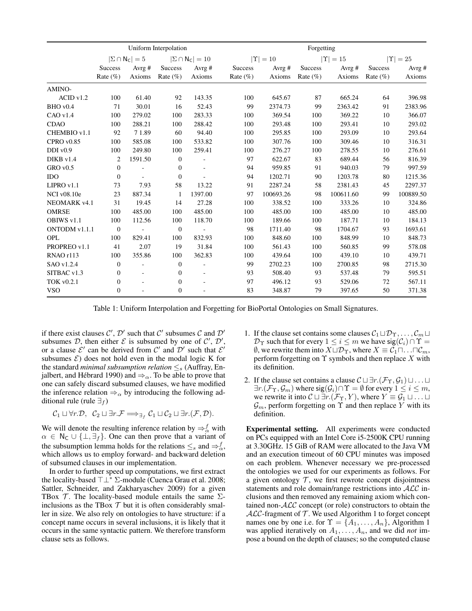|                    | Uniform Interpolation |                               |                  |                                |                | Forgetting        |                |                     |              |           |
|--------------------|-----------------------|-------------------------------|------------------|--------------------------------|----------------|-------------------|----------------|---------------------|--------------|-----------|
|                    |                       | $ \Sigma \cap N_{\rm C}  = 5$ |                  | $ \Sigma \cap N_{\rm C}  = 10$ |                | $ \Upsilon  = 10$ |                | $\Upsilon$<br>$=15$ | $ \Upsilon $ | $=25$     |
|                    | <b>Success</b>        | Avrg $#$                      | <b>Success</b>   | Avrg #                         | <b>Success</b> | Avrg $#$          | <b>Success</b> | Avrg $#$            | Success      | Avrg#     |
|                    | Rate $(\%)$           | Axioms                        | Rate $(\% )$     | Axioms                         | Rate $(\% )$   | Axioms            | Rate $(\% )$   | Axioms              | Rate $(\% )$ | Axioms    |
| AMINO-             |                       |                               |                  |                                |                |                   |                |                     |              |           |
| ACID v1.2          | 100                   | 61.40                         | 92               | 143.35                         | 100            | 645.67            | 87             | 665.24              | 64           | 396.98    |
| BHO v0.4           | 71                    | 30.01                         | 16               | 52.43                          | 99             | 2374.73           | 99             | 2363.42             | 91           | 2383.96   |
| CAO v1.4           | 100                   | 279.02                        | 100              | 283.33                         | 100            | 369.54            | 100            | 369.22              | 10           | 366.07    |
| <b>CDAO</b>        | 100                   | 288.21                        | 100              | 288.42                         | 100            | 293.48            | 100            | 293.41              | 10           | 293.02    |
| CHEMBIO v1.1       | 92                    | 71.89                         | 60               | 94.40                          | 100            | 295.85            | 100            | 293.09              | 10           | 293.64    |
| CPROV0.85          | 100                   | 585.08                        | 100              | 533.82                         | 100            | 307.76            | 100            | 309.46              | 10           | 316.31    |
| $DDI$ v $0.9$      | 100                   | 249.80                        | 100              | 259.41                         | 100            | 276.27            | 100            | 278.55              | 10           | 276.61    |
| DIKB v1.4          | 2                     | 1591.50                       | $\mathbf{0}$     |                                | 97             | 622.67            | 83             | 689.44              | 56           | 816.39    |
| $GRO$ v $0.5$      | $\boldsymbol{0}$      | ä,                            | $\boldsymbol{0}$ |                                | 94             | 959.85            | 91             | 940.03              | 79           | 997.59    |
| <b>IDO</b>         | $\boldsymbol{0}$      | $\sim$                        | $\boldsymbol{0}$ |                                | 94             | 1202.71           | 90             | 1203.78             | 80           | 1215.36   |
| $LIPRO$ v1.1       | 73                    | 7.93                          | 58               | 13.22                          | 91             | 2287.24           | 58             | 2381.43             | 45           | 2297.37   |
| <b>NCI</b> v08.10e | 23                    | 887.34                        | 1                | 1397.00                        | 97             | 100693.26         | 98             | 100611.60           | 99           | 100889.50 |
| NEOMARK v4.1       | 31                    | 19.45                         | 14               | 27.28                          | 100            | 338.52            | 100            | 333.26              | 10           | 324.86    |
| <b>OMRSE</b>       | 100                   | 485.00                        | 100              | 485.00                         | 100            | 485.00            | 100            | 485.00              | 10           | 485.00    |
| OBIWS v1.1         | 100                   | 112.56                        | 100              | 118.70                         | 100            | 189.66            | 100            | 187.71              | 10           | 184.13    |
| ONTODM v1.1.1      | $\mathbf{0}$          |                               | $\mathbf{0}$     | Ĭ.                             | 98             | 1711.40           | 98             | 1704.67             | 93           | 1693.61   |
| OPL                | 100                   | 829.41                        | 100              | 832.93                         | 100            | 848.60            | 100            | 848.99              | 10           | 848.73    |
| PROPREO v1.1       | 41                    | 2.07                          | 19               | 31.84                          | 100            | 561.43            | 100            | 560.85              | 99           | 578.08    |
| RNAO r113          | 100                   | 355.86                        | 100              | 362.83                         | 100            | 439.64            | 100            | 439.10              | 10           | 439.71    |
| SAO v1.2.4         | $\boldsymbol{0}$      | $\overline{\phantom{a}}$      | $\boldsymbol{0}$ | $\overline{a}$                 | 99             | 2702.23           | 100            | 2700.85             | 98           | 2715.30   |
| SITBAC v1.3        | $\boldsymbol{0}$      | $\sim$                        | $\boldsymbol{0}$ | $\overline{\phantom{a}}$       | 93             | 508.40            | 93             | 537.48              | 79           | 595.51    |
| <b>TOK v0.2.1</b>  | $\boldsymbol{0}$      | ÷.                            | $\boldsymbol{0}$ |                                | 97             | 496.12            | 93             | 529.06              | 72           | 567.11    |
| <b>VSO</b>         | $\overline{0}$        | ÷,                            | $\boldsymbol{0}$ |                                | 83             | 348.87            | 79             | 397.65              | 50           | 371.38    |

Table 1: Uniform Interpolation and Forgetting for BioPortal Ontologies on Small Signatures.

if there exist clauses  $C'$ ,  $D'$  such that  $C'$  subsumes C and  $D'$ subsumes D, then either  $\mathcal E$  is subsumed by one of  $\mathcal C', \mathcal D',$ or a clause  $\mathcal{E}'$  can be derived from  $\mathcal{C}'$  and  $\mathcal{D}'$  such that  $\mathcal{E}'$ subsumes  $\mathcal{E}$ ) does not hold even in the modal logic K for the standard *minimal subsumption relation*  $\leq_s$  (Auffray, Enjalbert, and Hébrard 1990) and  $\Rightarrow$ <sub>α</sub>. To be able to prove that one can safely discard subsumed clauses, we have modified the inference relation  $\Rightarrow$ <sub> $\alpha$ </sub> by introducing the following additional rule (rule  $\exists_f$ )

$$
\mathcal{C}_1 \sqcup \forall r.\mathcal{D}, \ \ \mathcal{C}_2 \sqcup \exists r.\mathcal{F} \Longrightarrow_{\exists_f} \mathcal{C}_1 \sqcup \mathcal{C}_2 \sqcup \exists r.(\mathcal{F}, \mathcal{D}).
$$

We will denote the resulting inference relation by  $\Rightarrow_{\alpha}^{f}$  with  $\alpha \in N_{\mathsf{C}} \cup \{\perp,\exists_f\}.$  One can then prove that a variant of the subsumption lemma holds for the relations  $\leq_s$  and  $\Rightarrow_{\alpha}^f$ , which allows us to employ forward- and backward deletion of subsumed clauses in our implementation.

In order to further speed up computations, we first extract the locality-based  $\top \bot^*$  Σ-module (Cuenca Grau et al. 2008; Sattler, Schneider, and Zakharyaschev 2009) for a given TBox  $\mathcal T$ . The locality-based module entails the same  $\Sigma$ inclusions as the TBox  $T$  but it is often considerably smaller in size. We also rely on ontologies to have structure: if a concept name occurs in several inclusions, it is likely that it occurs in the same syntactic pattern. We therefore transform clause sets as follows.

- 1. If the clause set contains some clauses  $C_1 \sqcup D_\Upsilon, \ldots, C_m \sqcup$  $\mathcal{D}_{\Upsilon}$  such that for every  $1 \leq i \leq m$  we have  $sig(\mathcal{C}_i) \cap \Upsilon =$  $\emptyset$ , we rewrite them into  $X \sqcup \mathcal{D}_\Upsilon$ , where  $X \equiv \mathcal{C}_1 \sqcap \ldots \sqcap \mathcal{C}_m$ , perform forgetting on  $\Upsilon$  symbols and then replace X with its definition.
- 2. If the clause set contains a clause  $\mathcal{C} \sqcup \exists r.(\mathcal{F}_{\Upsilon}, \mathcal{G}_1) \sqcup \ldots \sqcup$  $\exists r.(\mathcal{F}_{\Upsilon}, \mathcal{G}_m)$  where  $sig(\mathcal{G}_i) \cap \Upsilon = \emptyset$  for every  $1 \leq i \leq m$ , we rewrite it into  $C \sqcup \exists r \cdot (\mathcal{F}_{\Upsilon}, Y)$ , where  $Y \equiv \mathcal{G}_1 \sqcup \ldots \sqcup$  $\mathcal{G}_m$ , perform forgetting on  $\Upsilon$  and then replace Y with its definition.

Experimental setting. All experiments were conducted on PCs equipped with an Intel Core i5-2500K CPU running at 3.30GHz. 15 GiB of RAM were allocated to the Java VM and an execution timeout of 60 CPU minutes was imposed on each problem. Whenever necessary we pre-processed the ontologies we used for our experiments as follows. For a given ontology  $T$ , we first rewrote concept disjointness statements and role domain/range restrictions into ALC inclusions and then removed any remaining axiom which contained non-ALC concept (or role) constructors to obtain the  $ALC$ -fragment of  $T$ . We used Algorithm 1 to forget concept names one by one i.e. for  $\Upsilon = \{A_1, \ldots, A_n\}$ , Algorithm 1 was applied iteratively on  $A_1, \ldots, A_n$ , and we did *not* impose a bound on the depth of clauses; so the computed clause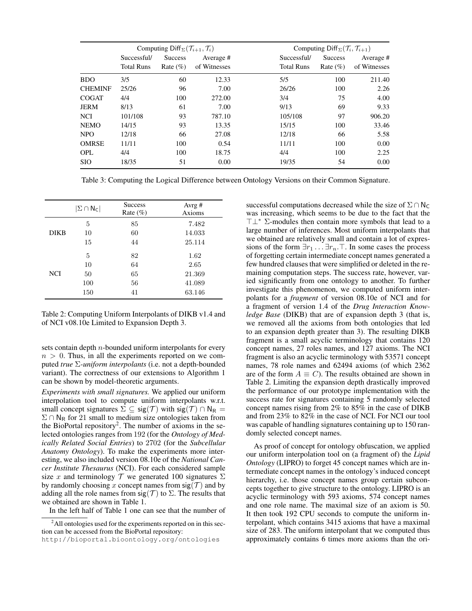|                |                   | Computing Diff <sub><math>\Sigma</math></sub> $(\mathcal{T}_{i+1}, \mathcal{T}_i)$ |              |                   | Computing Diff <sub><math>\Sigma</math></sub> $(\mathcal{T}_i, \mathcal{T}_{i+1})$ |              |
|----------------|-------------------|------------------------------------------------------------------------------------|--------------|-------------------|------------------------------------------------------------------------------------|--------------|
|                | Successful/       | <b>Success</b>                                                                     | Average #    | Successful/       | <b>Success</b>                                                                     | Average #    |
|                | <b>Total Runs</b> | Rate $(\%)$                                                                        | of Witnesses | <b>Total Runs</b> | Rate $(\%)$                                                                        | of Witnesses |
| <b>BDO</b>     | 3/5               | 60                                                                                 | 12.33        | 5/5               | 100                                                                                | 211.40       |
| <b>CHEMINF</b> | 25/26             | 96                                                                                 | 7.00         | 26/26             | 100                                                                                | 2.26         |
| <b>COGAT</b>   | 4/4               | 100                                                                                | 272.00       | 3/4               | 75                                                                                 | 4.00         |
| <b>JERM</b>    | 8/13              | 61                                                                                 | 7.00         | 9/13              | 69                                                                                 | 9.33         |
| <b>NCI</b>     | 101/108           | 93                                                                                 | 787.10       | 105/108           | 97                                                                                 | 906.20       |
| <b>NEMO</b>    | 14/15             | 93                                                                                 | 13.35        | 15/15             | 100                                                                                | 33.46        |
| <b>NPO</b>     | 12/18             | 66                                                                                 | 27.08        | 12/18             | 66                                                                                 | 5.58         |
| <b>OMRSE</b>   | 11/11             | 100                                                                                | 0.54         | 11/11             | 100                                                                                | 0.00         |
| <b>OPL</b>     | 4/4               | 100                                                                                | 18.75        | 4/4               | 100                                                                                | 2.25         |
| <b>SIO</b>     | 18/35             | 51                                                                                 | 0.00         | 19/35             | 54                                                                                 | 0.00         |

Table 3: Computing the Logical Difference between Ontology Versions on their Common Signature.

|             | $ \Sigma \cap N_{\mathsf{C}} $ | <b>Success</b><br>Rate $(\%)$ | Avrg#<br>Axioms |
|-------------|--------------------------------|-------------------------------|-----------------|
|             | 5                              | 85                            | 7.482           |
| <b>DIKB</b> | 10                             | 60                            | 14.033          |
|             | 15                             | 44                            | 25.114          |
|             | 5                              | 82                            | 1.62            |
|             | 10                             | 64                            | 2.65            |
| <b>NCI</b>  | 50                             | 65                            | 21.369          |
|             | 100                            | 56                            | 41.089          |
|             | 150                            | 41                            | 63.146          |

Table 2: Computing Uniform Interpolants of DIKB v1.4 and of NCI v08.10e Limited to Expansion Depth 3.

sets contain depth n-bounded uniform interpolants for every  $n > 0$ . Thus, in all the experiments reported on we computed *true* Σ*-uniform interpolants* (i.e. not a depth-bounded variant). The correctness of our extensions to Algorithm 1 can be shown by model-theoretic arguments.

*Experiments with small signatures.* We applied our uniform interpolation tool to compute uniform interpolants w.r.t. small concept signatures  $\Sigma \subseteq \text{sig}(\mathcal{T})$  with  $\text{sig}(\mathcal{T}) \cap N_R =$  $\Sigma \cap N_R$  for 21 small to medium size ontologies taken from the BioPortal repository<sup>2</sup>. The number of axioms in the selected ontologies ranges from 192 (for the *Ontology of Medically Related Social Entries*) to 2702 (for the *Subcellular Anatomy Ontology*). To make the experiments more interesting, we also included version 08.10e of the *National Cancer Institute Thesaurus* (NCI). For each considered sample size x and terminology  $\mathcal T$  we generated 100 signatures  $\Sigma$ by randomly choosing x concept names from  $sig(\mathcal{T})$  and by adding all the role names from  $sig(\mathcal{T})$  to  $\Sigma$ . The results that we obtained are shown in Table 1.

In the left half of Table 1 one can see that the number of

successful computations decreased while the size of  $\Sigma \cap N_C$ was increasing, which seems to be due to the fact that the  $T\perp^*$  ∑-modules then contain more symbols that lead to a large number of inferences. Most uniform interpolants that we obtained are relatively small and contain a lot of expressions of the form  $\exists r_1 \dots \exists r_n$ . T. In some cases the process of forgetting certain intermediate concept names generated a few hundred clauses that were simplified or deleted in the remaining computation steps. The success rate, however, varied significantly from one ontology to another. To further investigate this phenomenon, we computed uniform interpolants for a *fragment* of version 08.10e of NCI and for a fragment of version 1.4 of the *Drug Interaction Knowledge Base* (DIKB) that are of expansion depth 3 (that is, we removed all the axioms from both ontologies that led to an expansion depth greater than 3). The resulting DIKB fragment is a small acyclic terminology that contains 120 concept names, 27 roles names, and 127 axioms. The NCI fragment is also an acyclic terminology with 53571 concept names, 78 role names and 62494 axioms (of which 2362 are of the form  $A \equiv C$ ). The results obtained are shown in Table 2. Limiting the expansion depth drastically improved the performance of our prototype implementation with the success rate for signatures containing 5 randomly selected concept names rising from 2% to 85% in the case of DIKB and from 23% to 82% in the case of NCI. For NCI our tool was capable of handling signatures containing up to 150 randomly selected concept names.

As proof of concept for ontology obfuscation, we applied our uniform interpolation tool on (a fragment of) the *Lipid Ontology* (LIPRO) to forget 45 concept names which are intermediate concept names in the ontology's induced concept hierarchy, i.e. those concept names group certain subconcepts together to give structure to the ontology. LIPRO is an acyclic terminology with 593 axioms, 574 concept names and one role name. The maximal size of an axiom is 50. It then took 192 CPU seconds to compute the uniform interpolant, which contains 3415 axioms that have a maximal size of 283. The uniform interpolant that we computed thus approximately contains 6 times more axioms than the ori-

 $^{2}$ All ontologies used for the experiments reported on in this section can be accessed from the BioPortal repository:

http://bioportal.bioontology.org/ontologies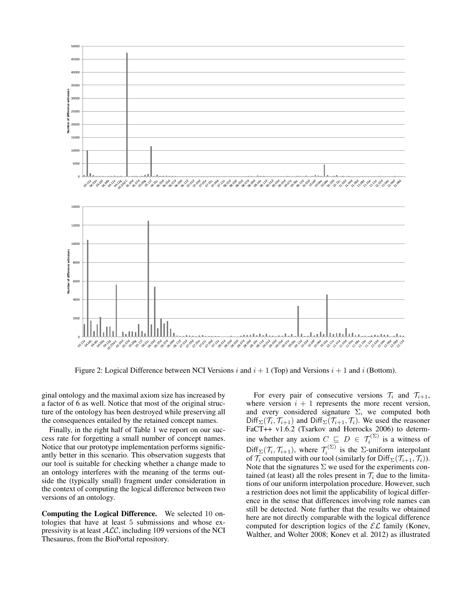

Figure 2: Logical Difference between NCI Versions i and  $i + 1$  (Top) and Versions  $i + 1$  and i (Bottom).

ginal ontology and the maximal axiom size has increased by a factor of 6 as well. Notice that most of the original structure of the ontology has been destroyed while preserving all the consequences entailed by the retained concept names.

Finally, in the right half of Table 1 we report on our success rate for forgetting a small number of concept names. Notice that our prototype implementation performs significantly better in this scenario. This observation suggests that our tool is suitable for checking whether a change made to an ontology interferes with the meaning of the terms outside the (typically small) fragment under consideration in the context of computing the logical difference between two versions of an ontology.

Computing the Logical Difference. We selected 10 ontologies that have at least 5 submissions and whose expressivity is at least  $ALC$ , including 109 versions of the NCI Thesaurus, from the BioPortal repository.

For every pair of consecutive versions  $\mathcal{T}_i$  and  $\mathcal{T}_{i+1}$ , where version  $i + 1$  represents the more recent version, and every considered signature  $\Sigma$ , we computed both  $Diff_{\Sigma}(\mathcal{T}_i, \mathcal{T}_{i+1})$  and  $Diff_{\Sigma}(\mathcal{T}_{i+1}, \mathcal{T}_i)$ . We used the reasoner FaCT++ v1.6.2 (Tsarkov and Horrocks 2006) to determine whether any axiom  $C \subseteq D \in \mathcal{T}_i^{(\Sigma)}$  is a witness of  $Diff_{\Sigma}(\mathcal{T}_i, \mathcal{T}_{i+1}),$  where  $\mathcal{T}_i^{(\Sigma)}$  is the  $\Sigma$ -uniform interpolant of  $\mathcal{T}_i$  computed with our tool (similarly for Diff<sub> $\Sigma(\mathcal{T}_{i+1}, \mathcal{T}_i)$ ).</sub> Note that the signatures  $\Sigma$  we used for the experiments contained (at least) all the roles present in  $\mathcal{T}_i$  due to the limitations of our uniform interpolation procedure. However, such a restriction does not limit the applicability of logical difference in the sense that differences involving role names can still be detected. Note further that the results we obtained here are not directly comparable with the logical difference computed for description logics of the  $\mathcal{EL}$  family (Konev, Walther, and Wolter 2008; Konev et al. 2012) as illustrated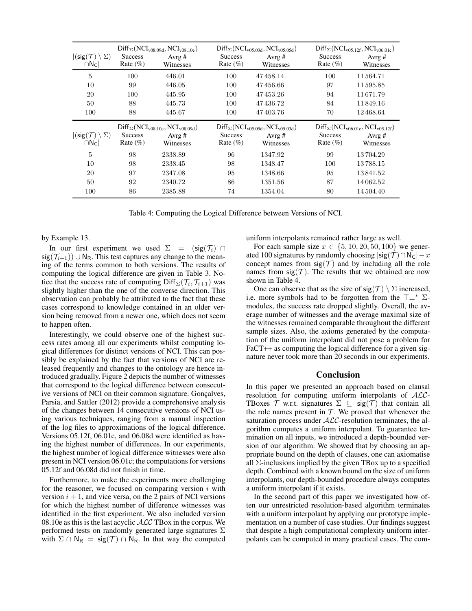| $ (sig(\mathcal{T}) \setminus \Sigma) $<br>$\cap N_{C}$ | <b>Success</b><br>Rate $(\%)$ | $Diff_{\Sigma}(NCI_{v08.09d},NCI_{v08.10e})$<br>Avrg $#$<br>Witnesses | <b>Success</b><br>Rate $(\%)$ | $Diff_{\Sigma}(NCI_{v05.03d},NCI_{v05.05d})$<br>Avrg $#$<br>Witnesses | <b>Success</b><br>Rate $(\%)$ | $Diff_{\Sigma}(NCI_{v05.12f},NCI_{v06.01c})$<br>Avrg $#$<br>Witnesses |
|---------------------------------------------------------|-------------------------------|-----------------------------------------------------------------------|-------------------------------|-----------------------------------------------------------------------|-------------------------------|-----------------------------------------------------------------------|
| 5                                                       | 100                           | 446.01                                                                | 100                           | 47458.14                                                              | 100                           | 11 564.71                                                             |
| 10                                                      | 99                            | 446.05                                                                | 100                           | 47456.66                                                              | 97                            | 11595.85                                                              |
| 20                                                      | 100                           | 445.95                                                                | 100                           | 47453.26                                                              | 94                            | 11671.79                                                              |
| 50                                                      | 88                            | 445.73                                                                | 100                           | 47436.72                                                              | 84                            | 11849.16                                                              |
| 100                                                     | 88                            | 445.67                                                                | 100                           | 47403.76                                                              | 70                            | 12468.64                                                              |
|                                                         |                               |                                                                       |                               |                                                                       |                               |                                                                       |
| $ (sig(\mathcal{T}) \setminus \Sigma) $<br>$\cap N_C$   | <b>Success</b><br>Rate $(\%)$ | $Diff_{\Sigma}(NCI_{v08.10e},NCI_{v08.09d})$<br>Avrg $#$<br>Witnesses | <b>Success</b><br>Rate $(\%)$ | $Diff_{\Sigma}(NCI_{v05.05d},NCI_{v05.03d})$<br>Avrg $#$<br>Witnesses | <b>Success</b><br>Rate $(\%)$ | $Diff_{\Sigma}(NCI_{v06.01c},NCI_{v05.12f})$<br>Avrg $#$<br>Witnesses |
| 5                                                       | 98                            | 2338.89                                                               | 96                            | 1347.92                                                               | 99                            | 13704.29                                                              |
| 10                                                      | 98                            | 2338.45                                                               | 98                            | 1348.47                                                               | 100                           | 13788.15                                                              |
| 20                                                      | 97                            | 2347.08                                                               | 95                            | 1348.66                                                               | 95                            | 13841.52                                                              |
| 50                                                      | 92                            | 2340.72                                                               | 86                            | 1351.56                                                               | 87                            | 14062.52                                                              |

Table 4: Computing the Logical Difference between Versions of NCI.

by Example 13.

In our first experiment we used  $\Sigma = (\text{sig}(\mathcal{T}_i) \cap$  $sig(\mathcal{T}_{i+1})$  ∪ N<sub>R</sub>. This test captures any change to the meaning of the terms common to both versions. The results of computing the logical difference are given in Table 3. Notice that the success rate of computing  $Diff_{\Sigma}(\mathcal{T}_i, \mathcal{T}_{i+1})$  was slightly higher than the one of the converse direction. This observation can probably be attributed to the fact that these cases correspond to knowledge contained in an older version being removed from a newer one, which does not seem to happen often.

Interestingly, we could observe one of the highest success rates among all our experiments whilst computing logical differences for distinct versions of NCI. This can possibly be explained by the fact that versions of NCI are released frequently and changes to the ontology are hence introduced gradually. Figure 2 depicts the number of witnesses that correspond to the logical difference between consecutive versions of NCI on their common signature. Gonçalves, Parsia, and Sattler (2012) provide a comprehensive analysis of the changes between 14 consecutive versions of NCI using various techniques, ranging from a manual inspection of the log files to approximations of the logical difference. Versions 05.12f, 06.01c, and 06.08d were identified as having the highest number of differences. In our experiments, the highest number of logical difference witnesses were also present in NCI version 06.01c; the computations for versions 05.12f and 06.08d did not finish in time.

Furthermore, to make the experiments more challenging for the reasoner, we focused on comparing version  $i$  with version  $i + 1$ , and vice versa, on the 2 pairs of NCI versions for which the highest number of difference witnesses was identified in the first experiment. We also included version 08.10e as this is the last acyclic  $\text{ALC}$  TBox in the corpus. We performed tests on randomly generated large signatures Σ with  $\Sigma \cap N_R = \text{sig}(\mathcal{T}) \cap N_R$ . In that way the computed uniform interpolants remained rather large as well.

For each sample size  $x \in \{5, 10, 20, 50, 100\}$  we generated 100 signatures by randomly choosing  $|\text{sig}(\mathcal{T}) \cap N_{\text{C}}| - x$ concept names from  $sig(\mathcal{T})$  and by including all the role names from  $sig(\mathcal{T})$ . The results that we obtained are now shown in Table 4.

One can observe that as the size of  $sig(\mathcal{T}) \setminus \Sigma$  increased, i.e. more symbols had to be forgotten from the  $\top \perp^* \Sigma$ modules, the success rate dropped slightly. Overall, the average number of witnesses and the average maximal size of the witnesses remained comparable throughout the different sample sizes. Also, the axioms generated by the computation of the uniform interpolant did not pose a problem for FaCT++ as computing the logical difference for a given signature never took more than 20 seconds in our experiments.

# Conclusion

In this paper we presented an approach based on clausal resolution for computing uniform interpolants of ALC-TBoxes  $\mathcal T$  w.r.t. signatures  $\Sigma \subseteq \text{sig}(\mathcal T)$  that contain all the role names present in  $T$ . We proved that whenever the saturation process under  $ALC$ -resolution terminates, the algorithm computes a uniform interpolant. To guarantee termination on all inputs, we introduced a depth-bounded version of our algorithm. We showed that by choosing an appropriate bound on the depth of clauses, one can axiomatise all  $\Sigma$ -inclusions implied by the given TBox up to a specified depth. Combined with a known bound on the size of uniform interpolants, our depth-bounded procedure always computes a uniform interpolant if it exists.

In the second part of this paper we investigated how often our unrestricted resolution-based algorithm terminates with a uniform interpolant by applying our prototype implementation on a number of case studies. Our findings suggest that despite a high computational complexity uniform interpolants can be computed in many practical cases. The com